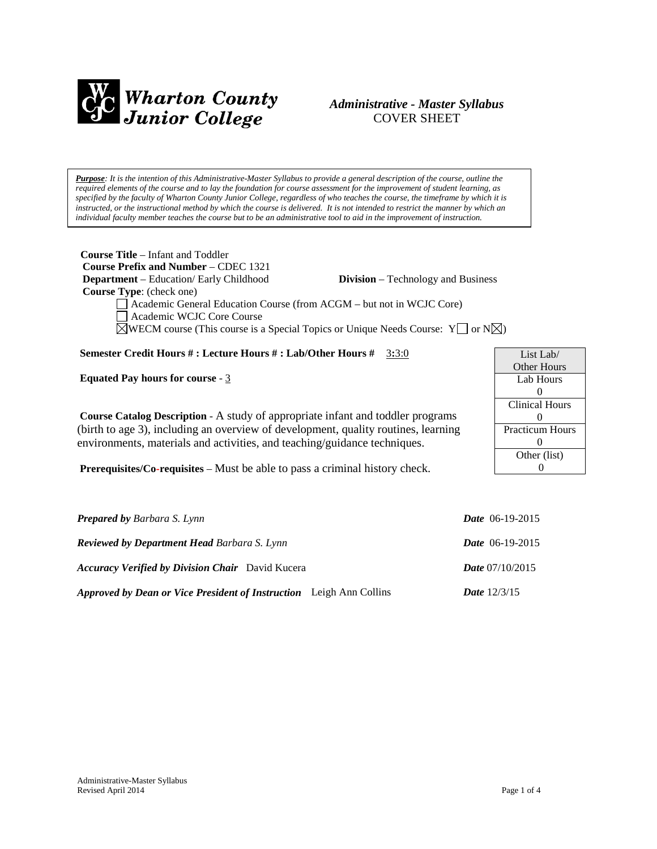

# *Administrative - Master Syllabus*  COVER SHEET

*Purpose: It is the intention of this Administrative-Master Syllabus to provide a general description of the course, outline the required elements of the course and to lay the foundation for course assessment for the improvement of student learning, as specified by the faculty of Wharton County Junior College, regardless of who teaches the course, the timeframe by which it is instructed, or the instructional method by which the course is delivered. It is not intended to restrict the manner by which an individual faculty member teaches the course but to be an administrative tool to aid in the improvement of instruction.*

| <b>Course Title</b> – Infant and Toddler                               |                                                                                                                 |
|------------------------------------------------------------------------|-----------------------------------------------------------------------------------------------------------------|
| <b>Course Prefix and Number – CDEC 1321</b>                            |                                                                                                                 |
| <b>Department</b> – Education/ Early Childhood                         | <b>Division</b> – Technology and Business                                                                       |
| <b>Course Type:</b> (check one)                                        |                                                                                                                 |
| □ Academic General Education Course (from ACGM – but not in WCJC Core) |                                                                                                                 |
| Academic WCJC Core Course                                              |                                                                                                                 |
|                                                                        | $\sqrt{\text{WECM}}$ course (This course is a Special Topics or Unique Needs Course: $Y \cup Y$ or $N \cup Y$ ) |
|                                                                        |                                                                                                                 |
| Semester Credit Hours #: Lecture Hours #: Lab/Other Hours #            | 3:3:0                                                                                                           |

**Equated Pay hours for course** - 3

**Course Catalog Description** - A study of appropriate infant and toddler programs (birth to age 3), including an overview of development, quality routines, learning environments, materials and activities, and teaching/guidance techniques.

**Prerequisites/Co-requisites** – Must be able to pass a criminal history check.

| <b>Prepared by Barbara S. Lynn</b>                                         | <i>Date</i> $06-19-2015$ |
|----------------------------------------------------------------------------|--------------------------|
| <b>Reviewed by Department Head Barbara S. Lynn</b>                         | <i>Date</i> $06-19-2015$ |
| <b>Accuracy Verified by Division Chair</b> David Kucera                    | <i>Date</i> $07/10/2015$ |
| <b>Approved by Dean or Vice President of Instruction</b> Leigh Ann Collins | <b>Date</b> $12/3/15$    |

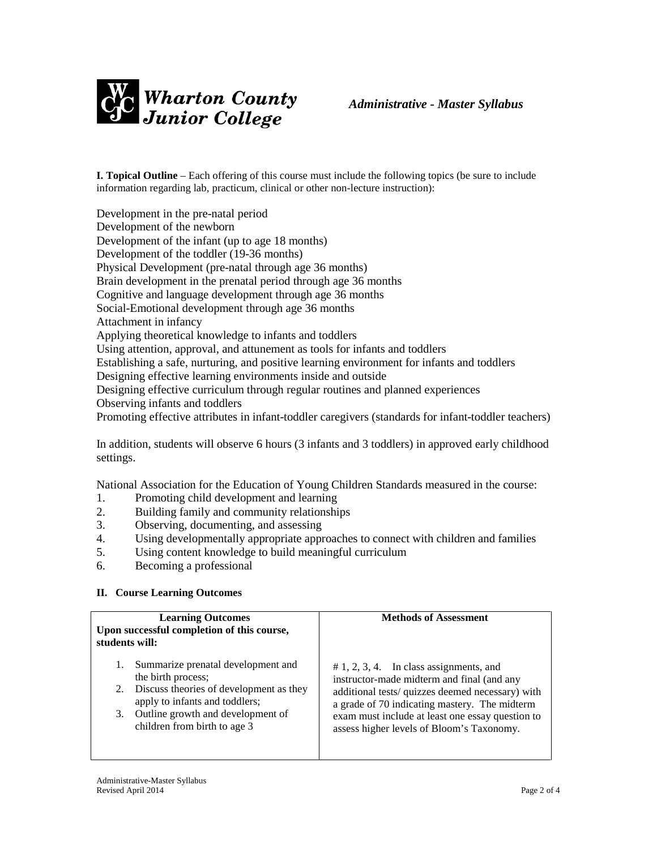

**I. Topical Outline** – Each offering of this course must include the following topics (be sure to include information regarding lab, practicum, clinical or other non-lecture instruction):

Development in the pre-natal period Development of the newborn Development of the infant (up to age 18 months) Development of the toddler (19-36 months) Physical Development (pre-natal through age 36 months) Brain development in the prenatal period through age 36 months Cognitive and language development through age 36 months Social-Emotional development through age 36 months Attachment in infancy Applying theoretical knowledge to infants and toddlers Using attention, approval, and attunement as tools for infants and toddlers Establishing a safe, nurturing, and positive learning environment for infants and toddlers Designing effective learning environments inside and outside Designing effective curriculum through regular routines and planned experiences Observing infants and toddlers Promoting effective attributes in infant-toddler caregivers (standards for infant-toddler teachers)

In addition, students will observe 6 hours (3 infants and 3 toddlers) in approved early childhood settings.

National Association for the Education of Young Children Standards measured in the course:

- 1. Promoting child development and learning
- 2. Building family and community relationships
- 3. Observing, documenting, and assessing
- 4. Using developmentally appropriate approaches to connect with children and families
- 5. Using content knowledge to build meaningful curriculum
- 6. Becoming a professional

#### **II. Course Learning Outcomes**

| <b>Learning Outcomes</b><br>Upon successful completion of this course,<br>students will:                                                                                                                                  | <b>Methods of Assessment</b>                                                                                                                                                                                                                                                                   |
|---------------------------------------------------------------------------------------------------------------------------------------------------------------------------------------------------------------------------|------------------------------------------------------------------------------------------------------------------------------------------------------------------------------------------------------------------------------------------------------------------------------------------------|
| Summarize prenatal development and<br>1.<br>the birth process;<br>2. Discuss theories of development as they<br>apply to infants and toddlers;<br>Outline growth and development of<br>3.<br>children from birth to age 3 | $# 1, 2, 3, 4$ . In class assignments, and<br>instructor-made midterm and final (and any<br>additional tests/ quizzes deemed necessary) with<br>a grade of 70 indicating mastery. The midterm<br>exam must include at least one essay question to<br>assess higher levels of Bloom's Taxonomy. |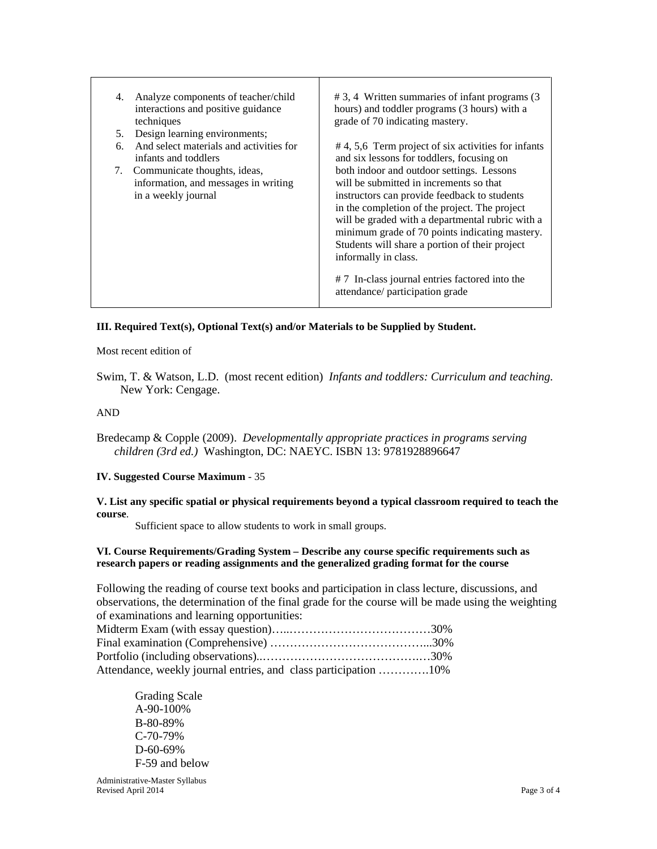| 4. | Analyze components of teacher/child<br>interactions and positive guidance<br>techniques     | $# 3, 4$ Written summaries of infant programs $(3)$<br>hours) and toddler programs (3 hours) with a<br>grade of 70 indicating mastery.                                                                                                                                                                                                                                                                                                                     |
|----|---------------------------------------------------------------------------------------------|------------------------------------------------------------------------------------------------------------------------------------------------------------------------------------------------------------------------------------------------------------------------------------------------------------------------------------------------------------------------------------------------------------------------------------------------------------|
| 5. | Design learning environments;                                                               |                                                                                                                                                                                                                                                                                                                                                                                                                                                            |
| б. | And select materials and activities for<br>infants and toddlers                             | #4, 5,6 Term project of six activities for infants<br>and six lessons for toddlers, focusing on                                                                                                                                                                                                                                                                                                                                                            |
| 7. | Communicate thoughts, ideas,<br>information, and messages in writing<br>in a weekly journal | both indoor and outdoor settings. Lessons<br>will be submitted in increments so that<br>instructors can provide feedback to students<br>in the completion of the project. The project<br>will be graded with a departmental rubric with a<br>minimum grade of 70 points indicating mastery.<br>Students will share a portion of their project<br>informally in class.<br># 7 In-class journal entries factored into the<br>attendance/ participation grade |

# **III. Required Text(s), Optional Text(s) and/or Materials to be Supplied by Student.**

Most recent edition of

Swim, T. & Watson, L.D. (most recent edition) *Infants and toddlers: Curriculum and teaching.*  New York: Cengage.

#### AND

Bredecamp & Copple (2009). *Developmentally appropriate practices in programs serving children (3rd ed.)* Washington, DC: NAEYC. ISBN 13: 9781928896647

### **IV. Suggested Course Maximum** - 35

**V. List any specific spatial or physical requirements beyond a typical classroom required to teach the course**.

Sufficient space to allow students to work in small groups.

#### **VI. Course Requirements/Grading System – Describe any course specific requirements such as research papers or reading assignments and the generalized grading format for the course**

Following the reading of course text books and participation in class lecture, discussions, and observations, the determination of the final grade for the course will be made using the weighting of examinations and learning opportunities:

| Attendance, weekly journal entries, and class participation 10% |  |
|-----------------------------------------------------------------|--|

Grading Scale A-90-100% B-80-89% C-70-79% D-60-69% F-59 and below

Administrative-Master Syllabus Revised April 2014 Page 3 of 4